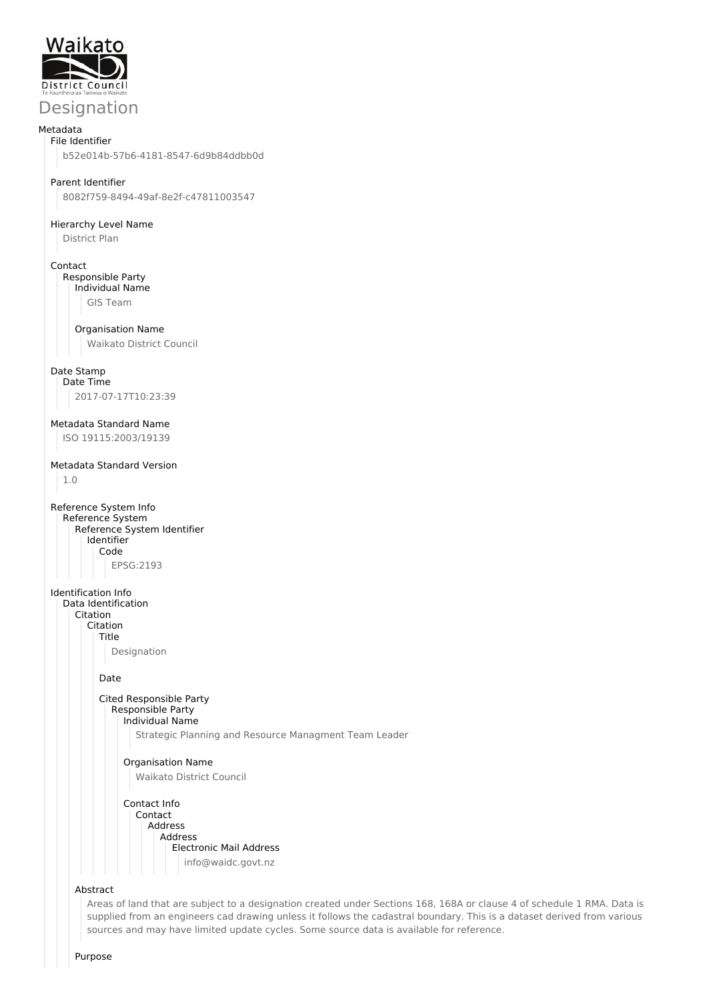

# Designation

#### Metadata File Identifier

b52e014b-57b6-4181-8547-6d9b84ddbb0d

### Parent Identifier

8082f759-8494-49af-8e2f-c47811003547

#### Hierarchy Level Name

District Plan

#### Contact

Responsible Party Individual Name

GIS Team

#### Organisation Name

Waikato District Council

#### Date Stamp

Date Time 2017-07-17T10:23:39

### Metadata Standard Name

ISO 19115:2003/19139

### Metadata Standard Version

1.0

```
Reference System Info
Reference System
   Reference System Identifier
     Identifier
       Code
          EPSG:2193
```
Identification Info

Data Identification Citation

Citation

Title Designation

Date

#### Cited Responsible Party Responsible Party Individual Name

Strategic Planning and Resource Managment Team Leader

## Organisation Name Waikato District Council

Contact Info Contact Address Address Electronic Mail Address info@waidc.govt.nz

#### Abstract

Areas of land that are subject to a designation created under Sections 168, 168A or clause 4 of schedule 1 RMA. Data is supplied from an engineers cad drawing unless it follows the cadastral boundary. This is a dataset derived from various sources and may have limited update cycles. Some source data is available for reference.

Purpose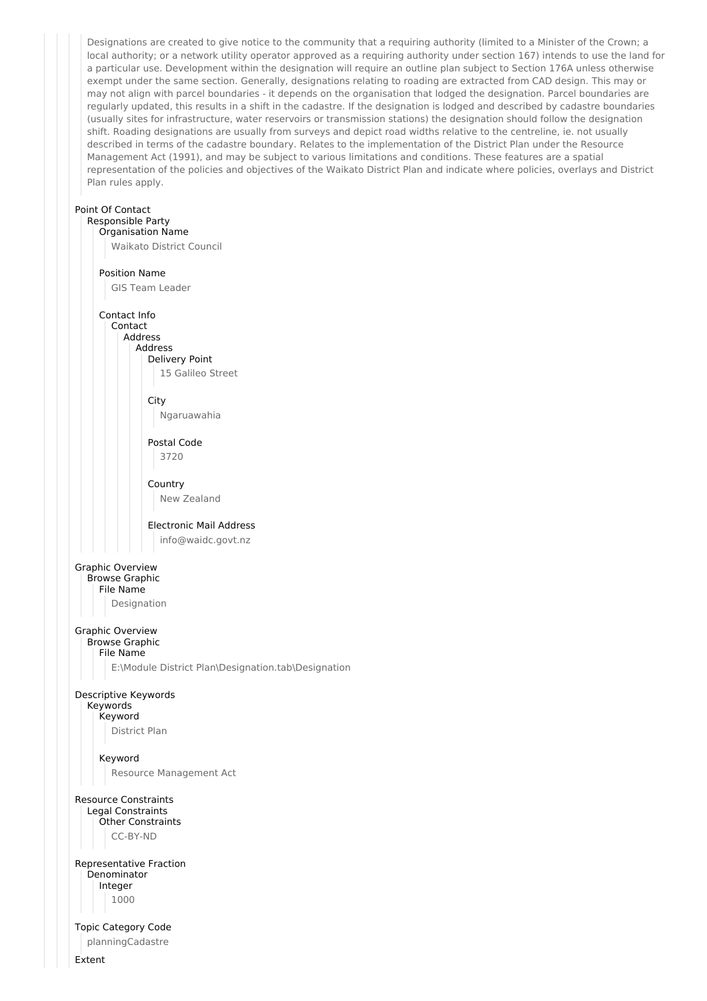Designations are created to give notice to the community that a requiring authority (limited to a Minister of the Crown; a local authority; or a network utility operator approved as a requiring authority under section 167) intends to use the land for a particular use. Development within the designation will require an outline plan subject to Section 176A unless otherwise exempt under the same section. Generally, designations relating to roading are extracted from CAD design. This may or may not align with parcel boundaries - it depends on the organisation that lodged the designation. Parcel boundaries are regularly updated, this results in a shift in the cadastre. If the designation is lodged and described by cadastre boundaries (usually sites for infrastructure, water reservoirs or transmission stations) the designation should follow the designation shift. Roading designations are usually from surveys and depict road widths relative to the centreline, ie. not usually described in terms of the cadastre boundary. Relates to the implementation of the District Plan under the Resource Management Act (1991), and may be subject to various limitations and conditions. These features are a spatial representation of the policies and objectives of the Waikato District Plan and indicate where policies, overlays and District Plan rules apply.

#### Point Of Contact Responsible Party

Organisation Name Waikato District Council Position Name GIS Team Leader Contact Info Contact Address Address Delivery Point 15 Galileo Street City Ngaruawahia Postal Code 3720 Country New Zealand Electronic Mail Address info@waidc.govt.nz Graphic Overview Browse Graphic File Name Designation Graphic Overview Browse Graphic File Name E:\Module District Plan\Designation.tab\Designation Descriptive Keywords Keywords Keyword District Plan Keyword Resource Management Act Resource Constraints Legal Constraints Other Constraints CC-BY-ND Representative Fraction Denominator Integer 1000 Topic Category Code planningCadastre

Extent